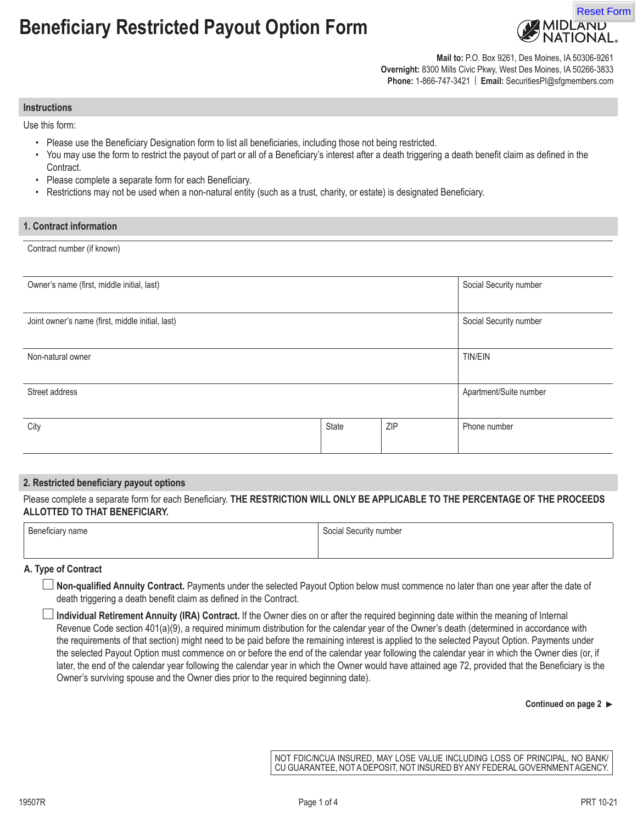# **Beneficiary Restricted Payout Option Form**



**Mail to:** P.O. Box 9261, Des Moines, IA 50306-9261 **Overnight:** 8300 Mills Civic Pkwy, West Des Moines, IA 50266-3833 **Phone:** 1-866-747-3421 | **Email:** SecuritiesPI@sfgmembers.com

#### **Instructions**

Use this form:

- Please use the Beneficiary Designation form to list all beneficiaries, including those not being restricted.
- You may use the form to restrict the payout of part or all of a Beneficiary's interest after a death triggering a death benefit claim as defined in the Contract.
- Please complete a separate form for each Beneficiary.
- Restrictions may not be used when a non-natural entity (such as a trust, charity, or estate) is designated Beneficiary.

## **1. Contract information**

Contract number (if known)

| Owner's name (first, middle initial, last)       |       |     | Social Security number |
|--------------------------------------------------|-------|-----|------------------------|
| Joint owner's name (first, middle initial, last) |       |     | Social Security number |
| Non-natural owner                                |       |     | <b>TIN/EIN</b>         |
|                                                  |       |     |                        |
| Street address                                   |       |     | Apartment/Suite number |
| City                                             | State | ZIP | Phone number           |

## **2. Restricted beneficiary payout options**

Please complete a separate form for each Beneficiary. **THE RESTRICTION WILL ONLY BE APPLICABLE TO THE PERCENTAGE OF THE PROCEEDS ALLOTTED TO THAT BENEFICIARY.**

| Beneficiary name | Social Security number |  |
|------------------|------------------------|--|
|                  |                        |  |

## **A. Type of Contract**

- **Non-qualified Annuity Contract.** Payments under the selected Payout Option below must commence no later than one year after the date of death triggering a death benefit claim as defined in the Contract.
- **Individual Retirement Annuity (IRA) Contract.** If the Owner dies on or after the required beginning date within the meaning of Internal Revenue Code section 401(a)(9), a required minimum distribution for the calendar year of the Owner's death (determined in accordance with the requirements of that section) might need to be paid before the remaining interest is applied to the selected Payout Option. Payments under the selected Payout Option must commence on or before the end of the calendar year following the calendar year in which the Owner dies (or, if later, the end of the calendar year following the calendar year in which the Owner would have attained age 72, provided that the Beneficiary is the Owner's surviving spouse and the Owner dies prior to the required beginning date).

#### **Continued on page 2**

NOT FDIC/NCUA INSURED, MAY LOSE VALUE INCLUDING LOSS OF PRINCIPAL, NO BANK/ CU GUARANTEE, NOT A DEPOSIT, NOT INSURED BY ANY FEDERAL GOVERNMENT AGENCY.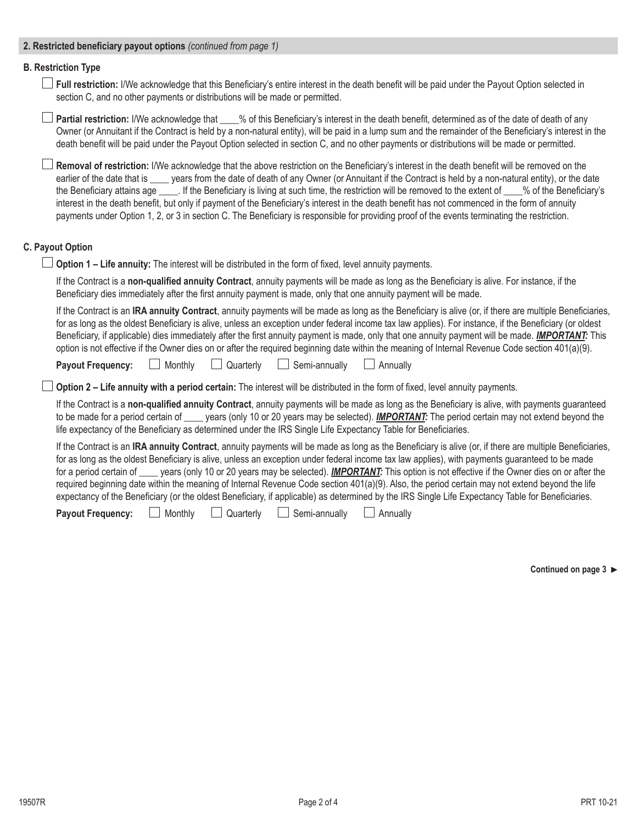# **2. Restricted beneficiary payout options** *(continued from page 1)*

# **B. Restriction Type**

**Full restriction:** I/We acknowledge that this Beneficiary's entire interest in the death benefit will be paid under the Payout Option selected in section C, and no other payments or distributions will be made or permitted.

**Partial restriction:** I/We acknowledge that \_\_\_\_% of this Beneficiary's interest in the death benefit, determined as of the date of death of any Owner (or Annuitant if the Contract is held by a non-natural entity), will be paid in a lump sum and the remainder of the Beneficiary's interest in the death benefit will be paid under the Payout Option selected in section C, and no other payments or distributions will be made or permitted.

**Removal of restriction:** I/We acknowledge that the above restriction on the Beneficiary's interest in the death benefit will be removed on the earlier of the date that is vears from the date of death of any Owner (or Annuitant if the Contract is held by a non-natural entity), or the date the Beneficiary attains age If the Beneficiary is living at such time, the restriction will be removed to the extent of  $\%$  of the Beneficiary's interest in the death benefit, but only if payment of the Beneficiary's interest in the death benefit has not commenced in the form of annuity payments under Option 1, 2, or 3 in section C. The Beneficiary is responsible for providing proof of the events terminating the restriction.

# **C. Payout Option**

**Option 1 – Life annuity:** The interest will be distributed in the form of fixed, level annuity payments.

If the Contract is a **non-qualified annuity Contract**, annuity payments will be made as long as the Beneficiary is alive. For instance, if the Beneficiary dies immediately after the first annuity payment is made, only that one annuity payment will be made.

If the Contract is an **IRA annuity Contract**, annuity payments will be made as long as the Beneficiary is alive (or, if there are multiple Beneficiaries, for as long as the oldest Beneficiary is alive, unless an exception under federal income tax law applies). For instance, if the Beneficiary (or oldest Beneficiary, if applicable) dies immediately after the first annuity payment is made, only that one annuity payment will be made. *IMPORTANT:* This option is not effective if the Owner dies on or after the required beginning date within the meaning of Internal Revenue Code section 401(a)(9).

**Payout Frequency:** Monthly Quarterly Semi-annually Annually

**Option 2 – Life annuity with a period certain:** The interest will be distributed in the form of fixed, level annuity payments.

If the Contract is a **non-qualified annuity Contract**, annuity payments will be made as long as the Beneficiary is alive, with payments guaranteed to be made for a period certain of vears (only 10 or 20 years may be selected). *IMPORTANT*: The period certain may not extend beyond the life expectancy of the Beneficiary as determined under the IRS Single Life Expectancy Table for Beneficiaries.

If the Contract is an **IRA annuity Contract**, annuity payments will be made as long as the Beneficiary is alive (or, if there are multiple Beneficiaries, for as long as the oldest Beneficiary is alive, unless an exception under federal income tax law applies), with payments guaranteed to be made for a period certain of years (only 10 or 20 years may be selected). **IMPORTANT:** This option is not effective if the Owner dies on or after the required beginning date within the meaning of Internal Revenue Code section 401(a)(9). Also, the period certain may not extend beyond the life expectancy of the Beneficiary (or the oldest Beneficiary, if applicable) as determined by the IRS Single Life Expectancy Table for Beneficiaries.

**Payout Frequency:** Monthly Quarterly Semi-annually Annually

**Continued on page 3**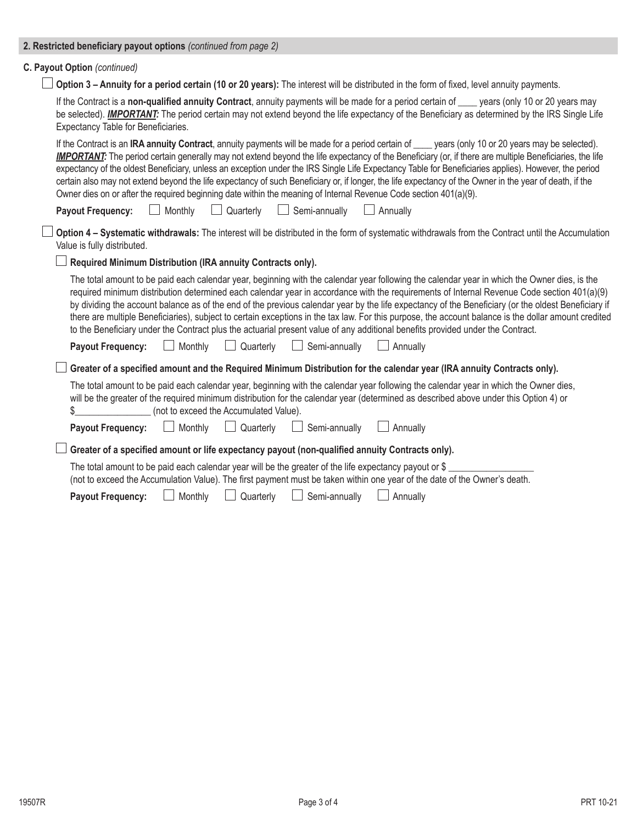| C. Payout Option (continued)                                                                                                                                                                                                                                                                                                                                                                                                                                                                                                                                                                                                                                                                                                                                 |
|--------------------------------------------------------------------------------------------------------------------------------------------------------------------------------------------------------------------------------------------------------------------------------------------------------------------------------------------------------------------------------------------------------------------------------------------------------------------------------------------------------------------------------------------------------------------------------------------------------------------------------------------------------------------------------------------------------------------------------------------------------------|
| Option 3 - Annuity for a period certain (10 or 20 years): The interest will be distributed in the form of fixed, level annuity payments.                                                                                                                                                                                                                                                                                                                                                                                                                                                                                                                                                                                                                     |
| If the Contract is a non-qualified annuity Contract, annuity payments will be made for a period certain of ____ years (only 10 or 20 years may<br>be selected). <b>IMPORTANT:</b> The period certain may not extend beyond the life expectancy of the Beneficiary as determined by the IRS Single Life<br>Expectancy Table for Beneficiaries.                                                                                                                                                                                                                                                                                                                                                                                                                |
| If the Contract is an IRA annuity Contract, annuity payments will be made for a period certain of ___ years (only 10 or 20 years may be selected).<br><b>IMPORTANT:</b> The period certain generally may not extend beyond the life expectancy of the Beneficiary (or, if there are multiple Beneficiaries, the life<br>expectancy of the oldest Beneficiary, unless an exception under the IRS Single Life Expectancy Table for Beneficiaries applies). However, the period<br>certain also may not extend beyond the life expectancy of such Beneficiary or, if longer, the life expectancy of the Owner in the year of death, if the<br>Owner dies on or after the required beginning date within the meaning of Internal Revenue Code section 401(a)(9). |
| Monthly<br>$\Box$ Quarterly<br>$\Box$ Semi-annually<br>Annually<br><b>Payout Frequency:</b><br>$\Box$                                                                                                                                                                                                                                                                                                                                                                                                                                                                                                                                                                                                                                                        |
| Option 4 - Systematic withdrawals: The interest will be distributed in the form of systematic withdrawals from the Contract until the Accumulation<br>Value is fully distributed.                                                                                                                                                                                                                                                                                                                                                                                                                                                                                                                                                                            |
| Required Minimum Distribution (IRA annuity Contracts only).                                                                                                                                                                                                                                                                                                                                                                                                                                                                                                                                                                                                                                                                                                  |
| The total amount to be paid each calendar year, beginning with the calendar year following the calendar year in which the Owner dies, is the<br>required minimum distribution determined each calendar year in accordance with the requirements of Internal Revenue Code section 401(a)(9)<br>by dividing the account balance as of the end of the previous calendar year by the life expectancy of the Beneficiary (or the oldest Beneficiary if<br>there are multiple Beneficiaries), subject to certain exceptions in the tax law. For this purpose, the account balance is the dollar amount credited<br>to the Beneficiary under the Contract plus the actuarial present value of any additional benefits provided under the Contract.                  |
| Semi-annually<br>Monthly<br>Quarterly<br>Annually<br><b>Payout Frequency:</b>                                                                                                                                                                                                                                                                                                                                                                                                                                                                                                                                                                                                                                                                                |
| Greater of a specified amount and the Required Minimum Distribution for the calendar year (IRA annuity Contracts only).                                                                                                                                                                                                                                                                                                                                                                                                                                                                                                                                                                                                                                      |
| The total amount to be paid each calendar year, beginning with the calendar year following the calendar year in which the Owner dies,<br>will be the greater of the required minimum distribution for the calendar year (determined as described above under this Option 4) or<br>(not to exceed the Accumulated Value).<br>\$                                                                                                                                                                                                                                                                                                                                                                                                                               |
| Monthly<br>Quarterly<br>Semi-annually<br><b>Payout Frequency:</b><br>Annually                                                                                                                                                                                                                                                                                                                                                                                                                                                                                                                                                                                                                                                                                |
| Greater of a specified amount or life expectancy payout (non-qualified annuity Contracts only).                                                                                                                                                                                                                                                                                                                                                                                                                                                                                                                                                                                                                                                              |
| The total amount to be paid each calendar year will be the greater of the life expectancy payout or $\$$<br>(not to exceed the Accumulation Value). The first payment must be taken within one year of the date of the Owner's death.                                                                                                                                                                                                                                                                                                                                                                                                                                                                                                                        |
| Quarterly<br>Monthly<br>Semi-annually<br>Annually<br><b>Payout Frequency:</b>                                                                                                                                                                                                                                                                                                                                                                                                                                                                                                                                                                                                                                                                                |

**2. Restricted beneficiary payout options** *(continued from page 2)*